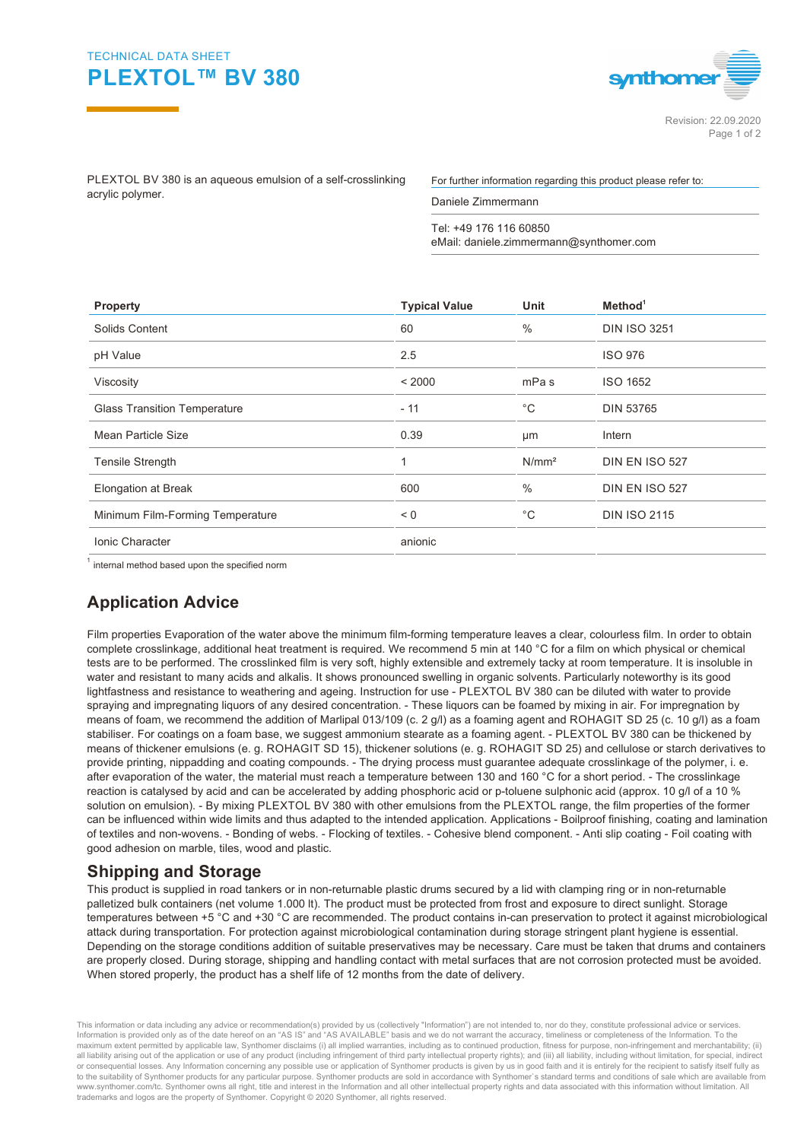## TECHNICAL DATA SHEET **PLEXTOL™ BV 380**



PLEXTOL BV 380 is an aqueous emulsion of a self-crosslinking acrylic polymer.

For further information regarding this product please refer to:

Daniele Zimmermann

Tel: +49 176 116 60850 eMail: daniele.zimmermann@synthomer.com

| Property                            | <b>Typical Value</b> | Unit              | Method <sup>1</sup>   |  |
|-------------------------------------|----------------------|-------------------|-----------------------|--|
| Solids Content                      | 60                   | $\frac{0}{0}$     | <b>DIN ISO 3251</b>   |  |
| pH Value                            | 2.5                  |                   | <b>ISO 976</b>        |  |
| Viscosity                           | < 2000               | mPa s             | ISO 1652              |  |
| <b>Glass Transition Temperature</b> | $-11$                | $^{\circ}C$       | <b>DIN 53765</b>      |  |
| Mean Particle Size                  | 0.39                 | μm                | Intern                |  |
| <b>Tensile Strength</b>             |                      | N/mm <sup>2</sup> | <b>DIN EN ISO 527</b> |  |
| <b>Elongation at Break</b>          | 600                  | $\frac{0}{0}$     | <b>DIN EN ISO 527</b> |  |
| Minimum Film-Forming Temperature    | < 0                  | °С                | <b>DIN ISO 2115</b>   |  |
| Ionic Character                     | anionic              |                   |                       |  |
|                                     |                      |                   |                       |  |

 $^{\text{1}}$  internal method based upon the specified norm

## **Application Advice**

Film properties Evaporation of the water above the minimum film-forming temperature leaves a clear, colourless film. In order to obtain complete crosslinkage, additional heat treatment is required. We recommend 5 min at 140 °C for a film on which physical or chemical tests are to be performed. The crosslinked film is very soft, highly extensible and extremely tacky at room temperature. It is insoluble in water and resistant to many acids and alkalis. It shows pronounced swelling in organic solvents. Particularly noteworthy is its good lightfastness and resistance to weathering and ageing. Instruction for use - PLEXTOL BV 380 can be diluted with water to provide spraying and impregnating liquors of any desired concentration. - These liquors can be foamed by mixing in air. For impregnation by means of foam, we recommend the addition of Marlipal 013/109 (c. 2 g/l) as a foaming agent and ROHAGIT SD 25 (c. 10 g/l) as a foam stabiliser. For coatings on a foam base, we suggest ammonium stearate as a foaming agent. - PLEXTOL BV 380 can be thickened by means of thickener emulsions (e. g. ROHAGIT SD 15), thickener solutions (e. g. ROHAGIT SD 25) and cellulose or starch derivatives to provide printing, nippadding and coating compounds. - The drying process must guarantee adequate crosslinkage of the polymer, i. e. after evaporation of the water, the material must reach a temperature between 130 and 160 °C for a short period. - The crosslinkage reaction is catalysed by acid and can be accelerated by adding phosphoric acid or p-toluene sulphonic acid (approx. 10 g/l of a 10 % solution on emulsion). - By mixing PLEXTOL BV 380 with other emulsions from the PLEXTOL range, the film properties of the former can be influenced within wide limits and thus adapted to the intended application. Applications - Boilproof finishing, coating and lamination of textiles and non-wovens. - Bonding of webs. - Flocking of textiles. - Cohesive blend component. - Anti slip coating - Foil coating with good adhesion on marble, tiles, wood and plastic.

## **Shipping and Storage**

This product is supplied in road tankers or in non-returnable plastic drums secured by a lid with clamping ring or in non-returnable palletized bulk containers (net volume 1.000 lt). The product must be protected from frost and exposure to direct sunlight. Storage temperatures between +5 °C and +30 °C are recommended. The product contains in-can preservation to protect it against microbiological attack during transportation. For protection against microbiological contamination during storage stringent plant hygiene is essential. Depending on the storage conditions addition of suitable preservatives may be necessary. Care must be taken that drums and containers are properly closed. During storage, shipping and handling contact with metal surfaces that are not corrosion protected must be avoided. When stored properly, the product has a shelf life of 12 months from the date of delivery.

This information or data including any advice or recommendation(s) provided by us (collectively "Information") are not intended to, nor do they, constitute professional advice or services.<br>Information is provided only as o maximum extent permitted by applicable law, Synthomer disclaims (i) all implied warranties, including as to continued production, fitness for purpose, non-infringement and merchantability; (ii) all liability arising out of the application or use of any product (including infringement of third party intellectual property rights); and (iii) all liability, including without limitation, for special, indirect or consequential losses. Any Information concerning any possible use or application of Synthomer products is given by us in good faith and it is entirely for the recipient to satisfy itself fully as to the suitability of Synthomer products for any particular purpose. Synthomer products are sold in accordance with Synthomer`s standard terms and conditions of sale which are available from www.synthomer.com/tc. Synthomer owns all right, title and interest in the Information and all other intellectual property rights and data associated with this information without limitation. All trademarks and logos are the property of Synthomer. Copyright © 2020 Synthomer, all rights reserved.